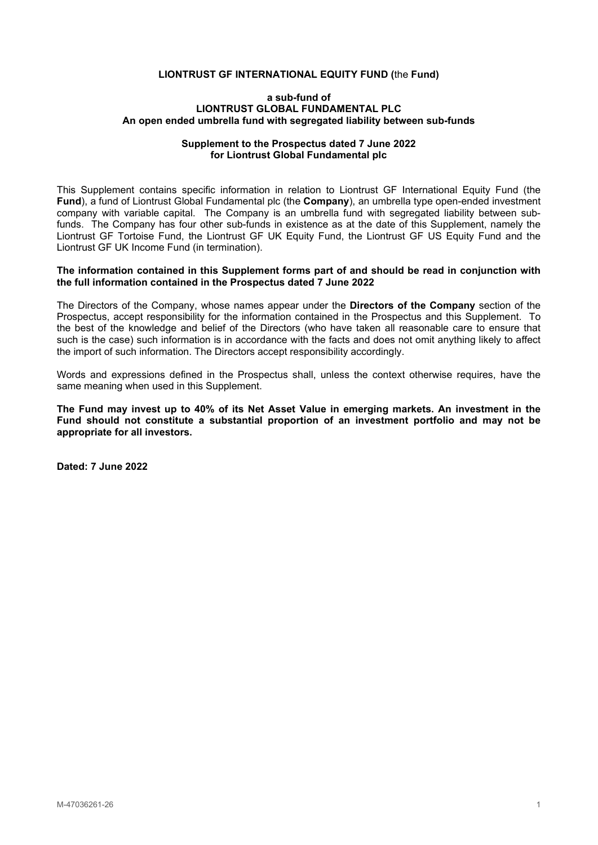### **LIONTRUST GF INTERNATIONAL EQUITY FUND (**the **Fund)**

#### **a sub-fund of LIONTRUST GLOBAL FUNDAMENTAL PLC An open ended umbrella fund with segregated liability between sub-funds**

### **Supplement to the Prospectus dated 7 June 2022 for Liontrust Global Fundamental plc**

This Supplement contains specific information in relation to Liontrust GF International Equity Fund (the **Fund**), a fund of Liontrust Global Fundamental plc (the **Company**), an umbrella type open-ended investment company with variable capital. The Company is an umbrella fund with segregated liability between subfunds. The Company has four other sub-funds in existence as at the date of this Supplement, namely the Liontrust GF Tortoise Fund, the Liontrust GF UK Equity Fund, the Liontrust GF US Equity Fund and the Liontrust GF UK Income Fund (in termination).

#### **The information contained in this Supplement forms part of and should be read in conjunction with the full information contained in the Prospectus dated 7 June 2022**

The Directors of the Company, whose names appear under the **Directors of the Company** section of the Prospectus, accept responsibility for the information contained in the Prospectus and this Supplement. To the best of the knowledge and belief of the Directors (who have taken all reasonable care to ensure that such is the case) such information is in accordance with the facts and does not omit anything likely to affect the import of such information. The Directors accept responsibility accordingly.

Words and expressions defined in the Prospectus shall, unless the context otherwise requires, have the same meaning when used in this Supplement.

**The Fund may invest up to 40% of its Net Asset Value in emerging markets. An investment in the Fund should not constitute a substantial proportion of an investment portfolio and may not be appropriate for all investors.**

**Dated: 7 June 2022**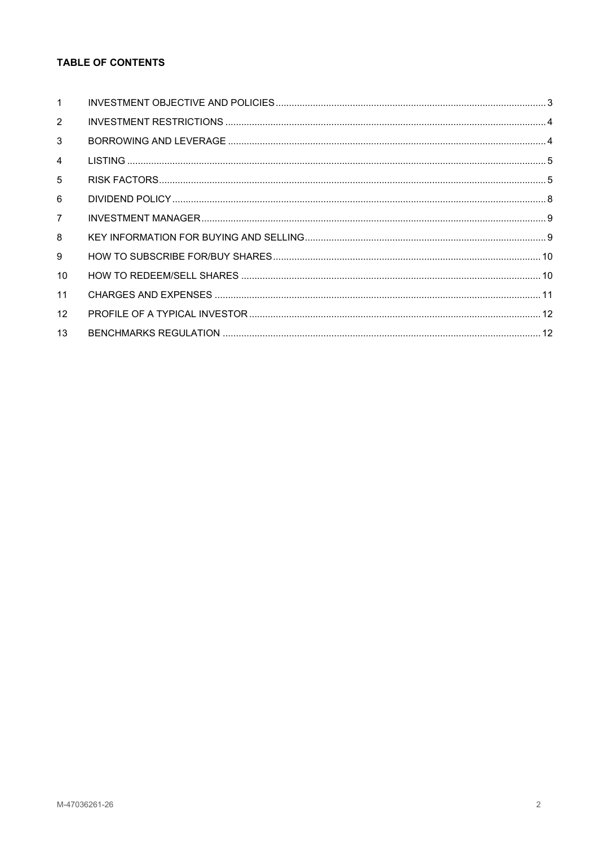# **TABLE OF CONTENTS**

| $\mathbf{1}$    |  |
|-----------------|--|
| 2               |  |
| 3               |  |
| 4               |  |
| 5               |  |
| 6               |  |
| $\overline{7}$  |  |
| 8               |  |
| 9               |  |
| 10 <sup>1</sup> |  |
| 11              |  |
| 12              |  |
| 13              |  |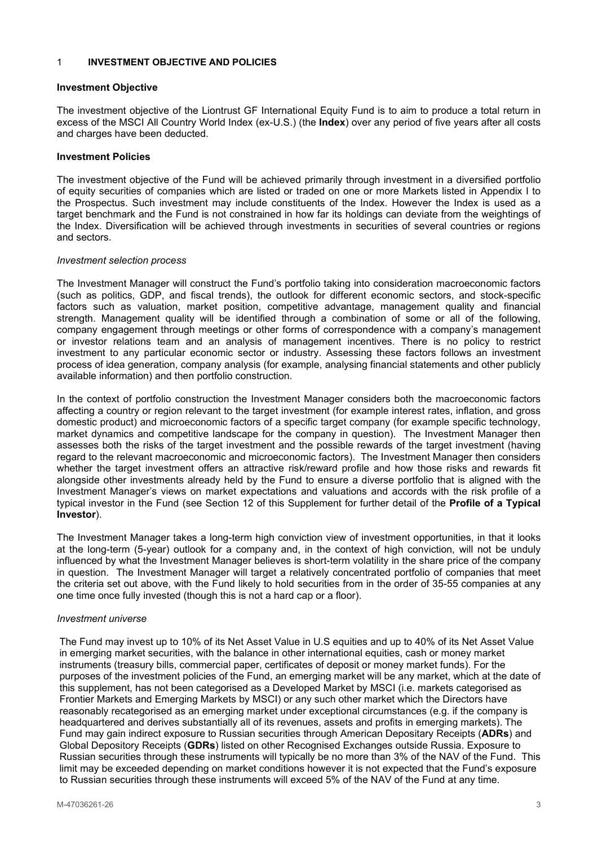#### <span id="page-2-0"></span>1 **INVESTMENT OBJECTIVE AND POLICIES**

#### **Investment Objective**

The investment objective of the Liontrust GF International Equity Fund is to aim to produce a total return in excess of the MSCI All Country World Index (ex-U.S.) (the **Index**) over any period of five years after all costs and charges have been deducted.

#### **Investment Policies**

The investment objective of the Fund will be achieved primarily through investment in a diversified portfolio of equity securities of companies which are listed or traded on one or more Markets listed in Appendix I to the Prospectus. Such investment may include constituents of the Index. However the Index is used as a target benchmark and the Fund is not constrained in how far its holdings can deviate from the weightings of the Index. Diversification will be achieved through investments in securities of several countries or regions and sectors.

#### *Investment selection process*

The Investment Manager will construct the Fund's portfolio taking into consideration macroeconomic factors (such as politics, GDP, and fiscal trends), the outlook for different economic sectors, and stock-specific factors such as valuation, market position, competitive advantage, management quality and financial strength. Management quality will be identified through a combination of some or all of the following, company engagement through meetings or other forms of correspondence with a company's management or investor relations team and an analysis of management incentives. There is no policy to restrict investment to any particular economic sector or industry. Assessing these factors follows an investment process of idea generation, company analysis (for example, analysing financial statements and other publicly available information) and then portfolio construction.

In the context of portfolio construction the Investment Manager considers both the macroeconomic factors affecting a country or region relevant to the target investment (for example interest rates, inflation, and gross domestic product) and microeconomic factors of a specific target company (for example specific technology, market dynamics and competitive landscape for the company in question). The Investment Manager then assesses both the risks of the target investment and the possible rewards of the target investment (having regard to the relevant macroeconomic and microeconomic factors). The Investment Manager then considers whether the target investment offers an attractive risk/reward profile and how those risks and rewards fit alongside other investments already held by the Fund to ensure a diverse portfolio that is aligned with the Investment Manager's views on market expectations and valuations and accords with the risk profile of a typical investor in the Fund (see Section 12 of this Supplement for further detail of the **Profile of a Typical Investor**).

The Investment Manager takes a long-term high conviction view of investment opportunities, in that it looks at the long-term (5-year) outlook for a company and, in the context of high conviction, will not be unduly influenced by what the Investment Manager believes is short-term volatility in the share price of the company in question. The Investment Manager will target a relatively concentrated portfolio of companies that meet the criteria set out above, with the Fund likely to hold securities from in the order of 35-55 companies at any one time once fully invested (though this is not a hard cap or a floor).

#### *Investment universe*

The Fund may invest up to 10% of its Net Asset Value in U.S equities and up to 40% of its Net Asset Value in emerging market securities, with the balance in other international equities, cash or money market instruments (treasury bills, commercial paper, certificates of deposit or money market funds). For the purposes of the investment policies of the Fund, an emerging market will be any market, which at the date of this supplement, has not been categorised as a Developed Market by MSCI (i.e. markets categorised as Frontier Markets and Emerging Markets by MSCI) or any such other market which the Directors have reasonably recategorised as an emerging market under exceptional circumstances (e.g. if the company is headquartered and derives substantially all of its revenues, assets and profits in emerging markets). The Fund may gain indirect exposure to Russian securities through American Depositary Receipts (**ADRs**) and Global Depository Receipts (**GDRs**) listed on other Recognised Exchanges outside Russia. Exposure to Russian securities through these instruments will typically be no more than 3% of the NAV of the Fund. This limit may be exceeded depending on market conditions however it is not expected that the Fund's exposure to Russian securities through these instruments will exceed 5% of the NAV of the Fund at any time.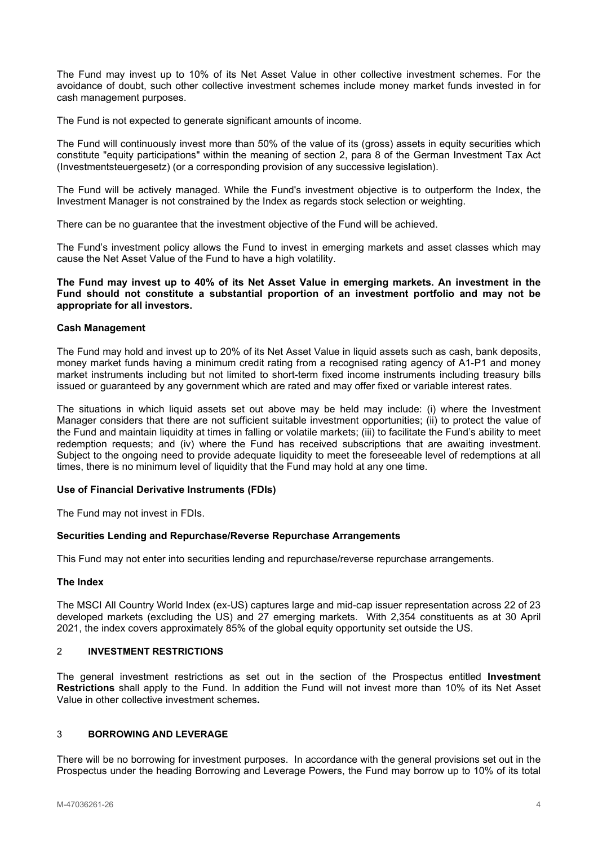The Fund may invest up to 10% of its Net Asset Value in other collective investment schemes. For the avoidance of doubt, such other collective investment schemes include money market funds invested in for cash management purposes.

The Fund is not expected to generate significant amounts of income.

The Fund will continuously invest more than 50% of the value of its (gross) assets in equity securities which constitute "equity participations" within the meaning of section 2, para 8 of the German Investment Tax Act (Investmentsteuergesetz) (or a corresponding provision of any successive legislation).

The Fund will be actively managed. While the Fund's investment objective is to outperform the Index, the Investment Manager is not constrained by the Index as regards stock selection or weighting.

There can be no guarantee that the investment objective of the Fund will be achieved.

The Fund's investment policy allows the Fund to invest in emerging markets and asset classes which may cause the Net Asset Value of the Fund to have a high volatility.

### **The Fund may invest up to 40% of its Net Asset Value in emerging markets. An investment in the Fund should not constitute a substantial proportion of an investment portfolio and may not be appropriate for all investors.**

### **Cash Management**

The Fund may hold and invest up to 20% of its Net Asset Value in liquid assets such as cash, bank deposits, money market funds having a minimum credit rating from a recognised rating agency of A1-P1 and money market instruments including but not limited to short-term fixed income instruments including treasury bills issued or guaranteed by any government which are rated and may offer fixed or variable interest rates.

The situations in which liquid assets set out above may be held may include: (i) where the Investment Manager considers that there are not sufficient suitable investment opportunities; (ii) to protect the value of the Fund and maintain liquidity at times in falling or volatile markets; (iii) to facilitate the Fund's ability to meet redemption requests; and (iv) where the Fund has received subscriptions that are awaiting investment. Subject to the ongoing need to provide adequate liquidity to meet the foreseeable level of redemptions at all times, there is no minimum level of liquidity that the Fund may hold at any one time.

# **Use of Financial Derivative Instruments (FDIs)**

The Fund may not invest in FDIs.

#### **Securities Lending and Repurchase/Reverse Repurchase Arrangements**

This Fund may not enter into securities lending and repurchase/reverse repurchase arrangements.

#### **The Index**

The MSCI All Country World Index (ex-US) captures large and mid-cap issuer representation across 22 of 23 developed markets (excluding the US) and 27 emerging markets. With 2,354 constituents as at 30 April 2021, the index covers approximately 85% of the global equity opportunity set outside the US.

### <span id="page-3-0"></span>2 **INVESTMENT RESTRICTIONS**

The general investment restrictions as set out in the section of the Prospectus entitled **Investment Restrictions** shall apply to the Fund. In addition the Fund will not invest more than 10% of its Net Asset Value in other collective investment schemes**.**

#### <span id="page-3-1"></span>3 **BORROWING AND LEVERAGE**

There will be no borrowing for investment purposes. In accordance with the general provisions set out in the Prospectus under the heading Borrowing and Leverage Powers, the Fund may borrow up to 10% of its total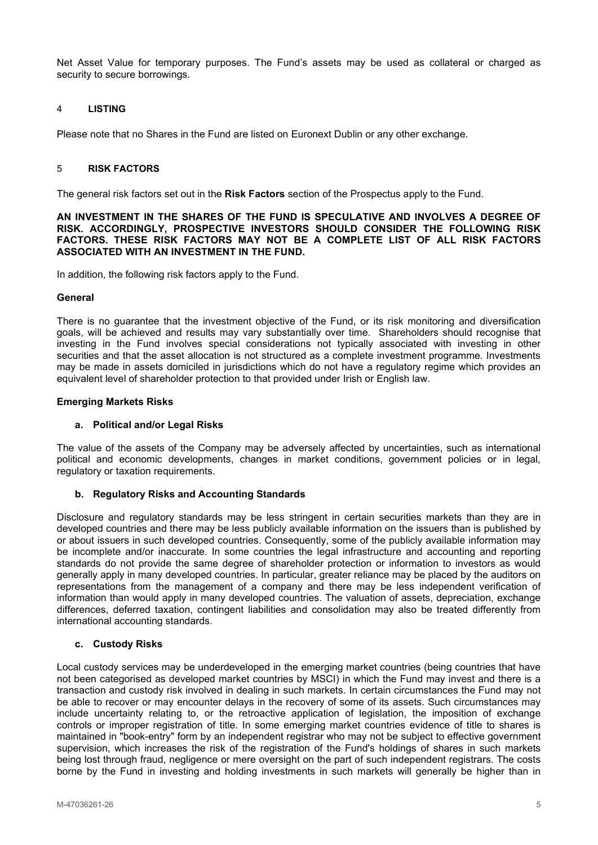Net Asset Value for temporary purposes. The Fund's assets may be used as collateral or charged as security to secure borrowings.

### <span id="page-4-0"></span>4 **LISTING**

Please note that no Shares in the Fund are listed on Euronext Dublin or any other exchange.

### <span id="page-4-1"></span>5 **RISK FACTORS**

The general risk factors set out in the **Risk Factors** section of the Prospectus apply to the Fund.

#### **AN INVESTMENT IN THE SHARES OF THE FUND IS SPECULATIVE AND INVOLVES A DEGREE OF RISK. ACCORDINGLY, PROSPECTIVE INVESTORS SHOULD CONSIDER THE FOLLOWING RISK FACTORS. THESE RISK FACTORS MAY NOT BE A COMPLETE LIST OF ALL RISK FACTORS ASSOCIATED WITH AN INVESTMENT IN THE FUND.**

In addition, the following risk factors apply to the Fund.

#### **General**

There is no guarantee that the investment objective of the Fund, or its risk monitoring and diversification goals, will be achieved and results may vary substantially over time. Shareholders should recognise that investing in the Fund involves special considerations not typically associated with investing in other securities and that the asset allocation is not structured as a complete investment programme. Investments may be made in assets domiciled in jurisdictions which do not have a regulatory regime which provides an equivalent level of shareholder protection to that provided under Irish or English law.

### **Emerging Markets Risks**

#### **a. Political and/or Legal Risks**

The value of the assets of the Company may be adversely affected by uncertainties, such as international political and economic developments, changes in market conditions, government policies or in legal, regulatory or taxation requirements.

#### **b. Regulatory Risks and Accounting Standards**

Disclosure and regulatory standards may be less stringent in certain securities markets than they are in developed countries and there may be less publicly available information on the issuers than is published by or about issuers in such developed countries. Consequently, some of the publicly available information may be incomplete and/or inaccurate. In some countries the legal infrastructure and accounting and reporting standards do not provide the same degree of shareholder protection or information to investors as would generally apply in many developed countries. In particular, greater reliance may be placed by the auditors on representations from the management of a company and there may be less independent verification of information than would apply in many developed countries. The valuation of assets, depreciation, exchange differences, deferred taxation, contingent liabilities and consolidation may also be treated differently from international accounting standards.

#### **c. Custody Risks**

Local custody services may be underdeveloped in the emerging market countries (being countries that have not been categorised as developed market countries by MSCI) in which the Fund may invest and there is a transaction and custody risk involved in dealing in such markets. In certain circumstances the Fund may not be able to recover or may encounter delays in the recovery of some of its assets. Such circumstances may include uncertainty relating to, or the retroactive application of legislation, the imposition of exchange controls or improper registration of title. In some emerging market countries evidence of title to shares is maintained in "book-entry" form by an independent registrar who may not be subject to effective government supervision, which increases the risk of the registration of the Fund's holdings of shares in such markets being lost through fraud, negligence or mere oversight on the part of such independent registrars. The costs borne by the Fund in investing and holding investments in such markets will generally be higher than in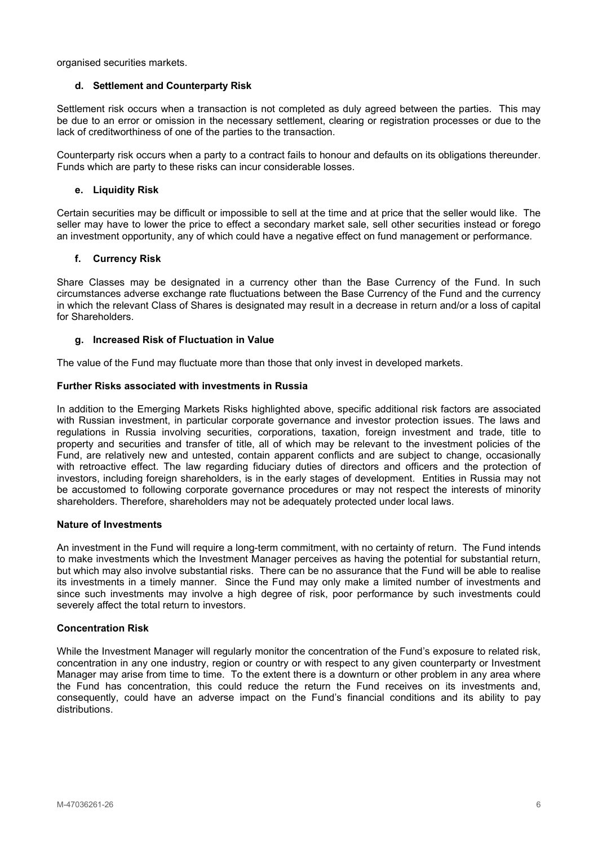organised securities markets.

### **d. Settlement and Counterparty Risk**

Settlement risk occurs when a transaction is not completed as duly agreed between the parties. This may be due to an error or omission in the necessary settlement, clearing or registration processes or due to the lack of creditworthiness of one of the parties to the transaction.

Counterparty risk occurs when a party to a contract fails to honour and defaults on its obligations thereunder. Funds which are party to these risks can incur considerable losses.

### **e. Liquidity Risk**

Certain securities may be difficult or impossible to sell at the time and at price that the seller would like. The seller may have to lower the price to effect a secondary market sale, sell other securities instead or forego an investment opportunity, any of which could have a negative effect on fund management or performance.

### **f. Currency Risk**

Share Classes may be designated in a currency other than the Base Currency of the Fund. In such circumstances adverse exchange rate fluctuations between the Base Currency of the Fund and the currency in which the relevant Class of Shares is designated may result in a decrease in return and/or a loss of capital for Shareholders.

### **g. Increased Risk of Fluctuation in Value**

The value of the Fund may fluctuate more than those that only invest in developed markets.

#### **Further Risks associated with investments in Russia**

In addition to the Emerging Markets Risks highlighted above, specific additional risk factors are associated with Russian investment, in particular corporate governance and investor protection issues. The laws and regulations in Russia involving securities, corporations, taxation, foreign investment and trade, title to property and securities and transfer of title, all of which may be relevant to the investment policies of the Fund, are relatively new and untested, contain apparent conflicts and are subject to change, occasionally with retroactive effect. The law regarding fiduciary duties of directors and officers and the protection of investors, including foreign shareholders, is in the early stages of development. Entities in Russia may not be accustomed to following corporate governance procedures or may not respect the interests of minority shareholders. Therefore, shareholders may not be adequately protected under local laws.

#### **Nature of Investments**

An investment in the Fund will require a long-term commitment, with no certainty of return. The Fund intends to make investments which the Investment Manager perceives as having the potential for substantial return, but which may also involve substantial risks. There can be no assurance that the Fund will be able to realise its investments in a timely manner. Since the Fund may only make a limited number of investments and since such investments may involve a high degree of risk, poor performance by such investments could severely affect the total return to investors.

#### **Concentration Risk**

While the Investment Manager will regularly monitor the concentration of the Fund's exposure to related risk, concentration in any one industry, region or country or with respect to any given counterparty or Investment Manager may arise from time to time. To the extent there is a downturn or other problem in any area where the Fund has concentration, this could reduce the return the Fund receives on its investments and, consequently, could have an adverse impact on the Fund's financial conditions and its ability to pay distributions.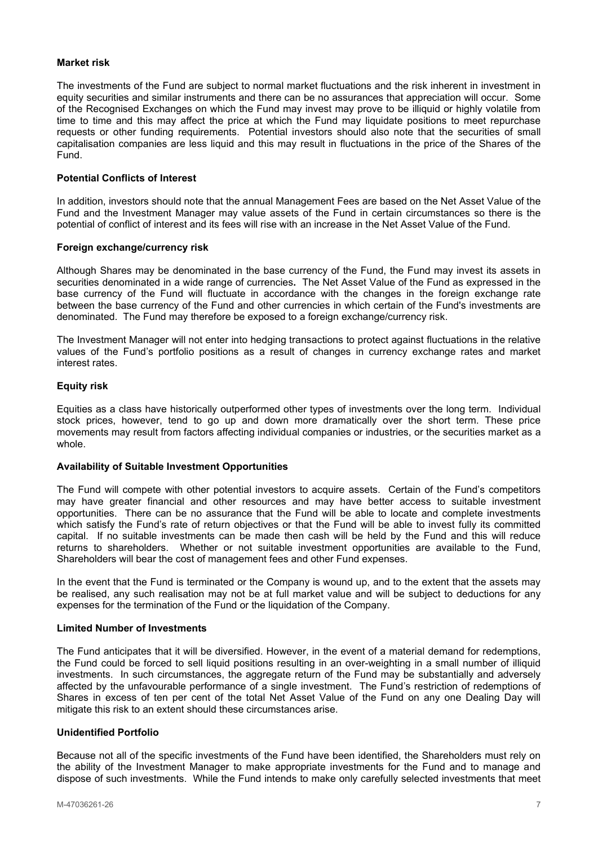#### **Market risk**

The investments of the Fund are subject to normal market fluctuations and the risk inherent in investment in equity securities and similar instruments and there can be no assurances that appreciation will occur. Some of the Recognised Exchanges on which the Fund may invest may prove to be illiquid or highly volatile from time to time and this may affect the price at which the Fund may liquidate positions to meet repurchase requests or other funding requirements. Potential investors should also note that the securities of small capitalisation companies are less liquid and this may result in fluctuations in the price of the Shares of the Fund.

### **Potential Conflicts of Interest**

In addition, investors should note that the annual Management Fees are based on the Net Asset Value of the Fund and the Investment Manager may value assets of the Fund in certain circumstances so there is the potential of conflict of interest and its fees will rise with an increase in the Net Asset Value of the Fund.

#### **Foreign exchange/currency risk**

Although Shares may be denominated in the base currency of the Fund, the Fund may invest its assets in securities denominated in a wide range of currencies**.** The Net Asset Value of the Fund as expressed in the base currency of the Fund will fluctuate in accordance with the changes in the foreign exchange rate between the base currency of the Fund and other currencies in which certain of the Fund's investments are denominated. The Fund may therefore be exposed to a foreign exchange/currency risk.

The Investment Manager will not enter into hedging transactions to protect against fluctuations in the relative values of the Fund's portfolio positions as a result of changes in currency exchange rates and market interest rates.

### **Equity risk**

Equities as a class have historically outperformed other types of investments over the long term. Individual stock prices, however, tend to go up and down more dramatically over the short term. These price movements may result from factors affecting individual companies or industries, or the securities market as a whole.

#### **Availability of Suitable Investment Opportunities**

The Fund will compete with other potential investors to acquire assets. Certain of the Fund's competitors may have greater financial and other resources and may have better access to suitable investment opportunities. There can be no assurance that the Fund will be able to locate and complete investments which satisfy the Fund's rate of return objectives or that the Fund will be able to invest fully its committed capital. If no suitable investments can be made then cash will be held by the Fund and this will reduce returns to shareholders. Whether or not suitable investment opportunities are available to the Fund, Shareholders will bear the cost of management fees and other Fund expenses.

In the event that the Fund is terminated or the Company is wound up, and to the extent that the assets may be realised, any such realisation may not be at full market value and will be subject to deductions for any expenses for the termination of the Fund or the liquidation of the Company.

#### **Limited Number of Investments**

The Fund anticipates that it will be diversified. However, in the event of a material demand for redemptions, the Fund could be forced to sell liquid positions resulting in an over-weighting in a small number of illiquid investments. In such circumstances, the aggregate return of the Fund may be substantially and adversely affected by the unfavourable performance of a single investment. The Fund's restriction of redemptions of Shares in excess of ten per cent of the total Net Asset Value of the Fund on any one Dealing Day will mitigate this risk to an extent should these circumstances arise.

#### **Unidentified Portfolio**

Because not all of the specific investments of the Fund have been identified, the Shareholders must rely on the ability of the Investment Manager to make appropriate investments for the Fund and to manage and dispose of such investments. While the Fund intends to make only carefully selected investments that meet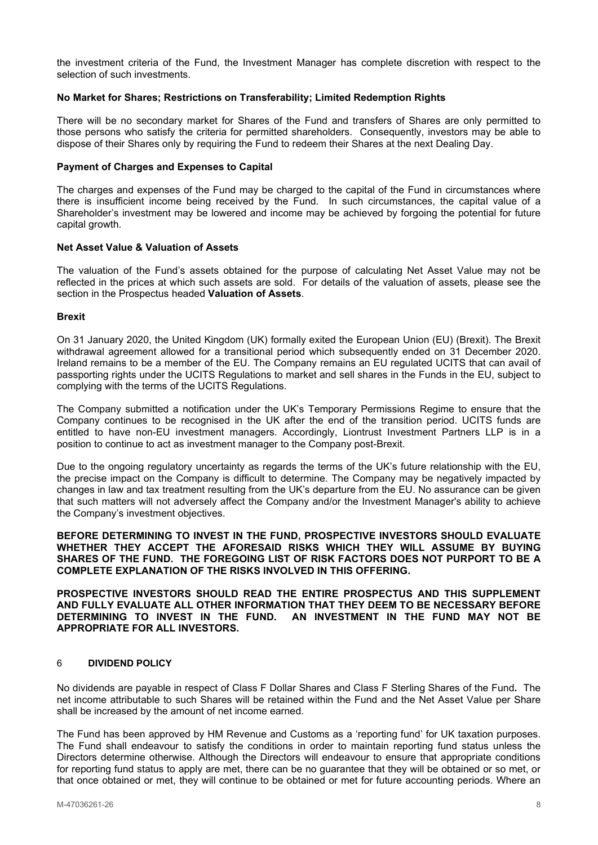the investment criteria of the Fund, the Investment Manager has complete discretion with respect to the selection of such investments.

### **No Market for Shares; Restrictions on Transferability; Limited Redemption Rights**

There will be no secondary market for Shares of the Fund and transfers of Shares are only permitted to those persons who satisfy the criteria for permitted shareholders. Consequently, investors may be able to dispose of their Shares only by requiring the Fund to redeem their Shares at the next Dealing Day.

### **Payment of Charges and Expenses to Capital**

The charges and expenses of the Fund may be charged to the capital of the Fund in circumstances where there is insufficient income being received by the Fund. In such circumstances, the capital value of a Shareholder's investment may be lowered and income may be achieved by forgoing the potential for future capital growth.

#### **Net Asset Value & Valuation of Assets**

The valuation of the Fund's assets obtained for the purpose of calculating Net Asset Value may not be reflected in the prices at which such assets are sold. For details of the valuation of assets, please see the section in the Prospectus headed **Valuation of Assets**.

### **Brexit**

On 31 January 2020, the United Kingdom (UK) formally exited the European Union (EU) (Brexit). The Brexit withdrawal agreement allowed for a transitional period which subsequently ended on 31 December 2020. Ireland remains to be a member of the EU. The Company remains an EU regulated UCITS that can avail of passporting rights under the UCITS Regulations to market and sell shares in the Funds in the EU, subject to complying with the terms of the UCITS Regulations.

The Company submitted a notification under the UK's Temporary Permissions Regime to ensure that the Company continues to be recognised in the UK after the end of the transition period. UCITS funds are entitled to have non-EU investment managers. Accordingly, Liontrust Investment Partners LLP is in a position to continue to act as investment manager to the Company post-Brexit.

Due to the ongoing regulatory uncertainty as regards the terms of the UK's future relationship with the EU, the precise impact on the Company is difficult to determine. The Company may be negatively impacted by changes in law and tax treatment resulting from the UK's departure from the EU. No assurance can be given that such matters will not adversely affect the Company and/or the Investment Manager's ability to achieve the Company's investment objectives.

**BEFORE DETERMINING TO INVEST IN THE FUND, PROSPECTIVE INVESTORS SHOULD EVALUATE WHETHER THEY ACCEPT THE AFORESAID RISKS WHICH THEY WILL ASSUME BY BUYING SHARES OF THE FUND. THE FOREGOING LIST OF RISK FACTORS DOES NOT PURPORT TO BE A COMPLETE EXPLANATION OF THE RISKS INVOLVED IN THIS OFFERING.**

**PROSPECTIVE INVESTORS SHOULD READ THE ENTIRE PROSPECTUS AND THIS SUPPLEMENT AND FULLY EVALUATE ALL OTHER INFORMATION THAT THEY DEEM TO BE NECESSARY BEFORE DETERMINING TO INVEST IN THE FUND. AN INVESTMENT IN THE FUND MAY NOT BE APPROPRIATE FOR ALL INVESTORS.**

#### <span id="page-7-0"></span>6 **DIVIDEND POLICY**

No dividends are payable in respect of Class F Dollar Shares and Class F Sterling Shares of the Fund**.** The net income attributable to such Shares will be retained within the Fund and the Net Asset Value per Share shall be increased by the amount of net income earned.

The Fund has been approved by HM Revenue and Customs as a 'reporting fund' for UK taxation purposes. The Fund shall endeavour to satisfy the conditions in order to maintain reporting fund status unless the Directors determine otherwise. Although the Directors will endeavour to ensure that appropriate conditions for reporting fund status to apply are met, there can be no guarantee that they will be obtained or so met, or that once obtained or met, they will continue to be obtained or met for future accounting periods. Where an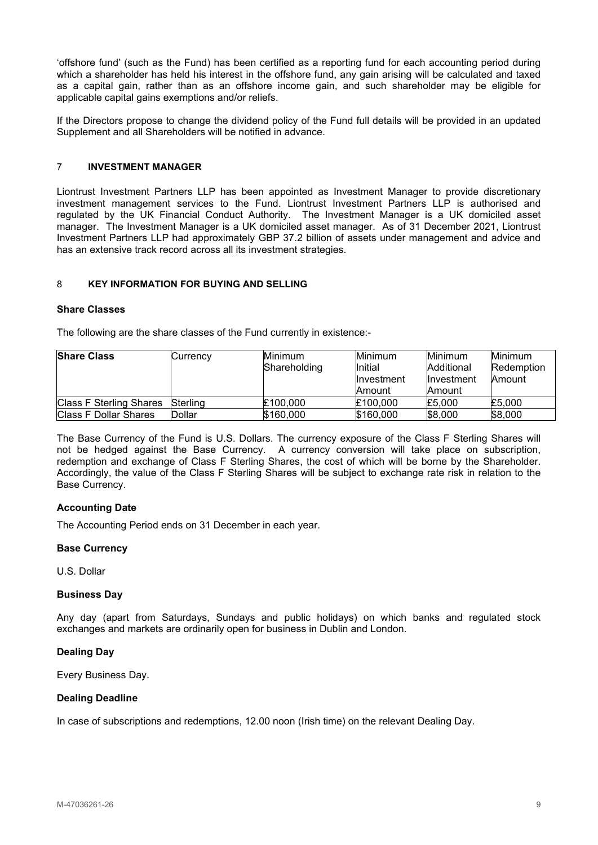'offshore fund' (such as the Fund) has been certified as a reporting fund for each accounting period during which a shareholder has held his interest in the offshore fund, any gain arising will be calculated and taxed as a capital gain, rather than as an offshore income gain, and such shareholder may be eligible for applicable capital gains exemptions and/or reliefs.

If the Directors propose to change the dividend policy of the Fund full details will be provided in an updated Supplement and all Shareholders will be notified in advance.

### <span id="page-8-0"></span>7 **INVESTMENT MANAGER**

<span id="page-8-1"></span>Liontrust Investment Partners LLP has been appointed as Investment Manager to provide discretionary investment management services to the Fund. Liontrust Investment Partners LLP is authorised and regulated by the UK Financial Conduct Authority. The Investment Manager is a UK domiciled asset manager. The Investment Manager is a UK domiciled asset manager. As of 31 December 2021, Liontrust Investment Partners LLP had approximately GBP 37.2 billion of assets under management and advice and has an extensive track record across all its investment strategies.

#### 8 **KEY INFORMATION FOR BUYING AND SELLING**

#### **Share Classes**

The following are the share classes of the Fund currently in existence:-

| <b>Share Class</b>      | Currency | <b>Minimum</b><br>Shareholding | <b>Minimum</b><br><b>I</b> nitial<br>Investment<br>Amount | Minimum<br>Additional<br><b>Investment</b><br>Amount | Minimum<br>Redemption<br>Amount |
|-------------------------|----------|--------------------------------|-----------------------------------------------------------|------------------------------------------------------|---------------------------------|
| Class F Sterling Shares | Sterling | £100,000                       | £100,000                                                  | £5,000                                               | £5,000                          |
| Class F Dollar Shares   | Dollar   | \$160,000                      | \$160,000                                                 | \$8,000                                              | \$8,000                         |

The Base Currency of the Fund is U.S. Dollars. The currency exposure of the Class F Sterling Shares will not be hedged against the Base Currency. A currency conversion will take place on subscription, redemption and exchange of Class F Sterling Shares, the cost of which will be borne by the Shareholder. Accordingly, the value of the Class F Sterling Shares will be subject to exchange rate risk in relation to the Base Currency.

# **Accounting Date**

The Accounting Period ends on 31 December in each year.

#### **Base Currency**

U.S. Dollar

#### **Business Day**

Any day (apart from Saturdays, Sundays and public holidays) on which banks and regulated stock exchanges and markets are ordinarily open for business in Dublin and London.

#### **Dealing Day**

Every Business Day.

#### **Dealing Deadline**

In case of subscriptions and redemptions, 12.00 noon (Irish time) on the relevant Dealing Day.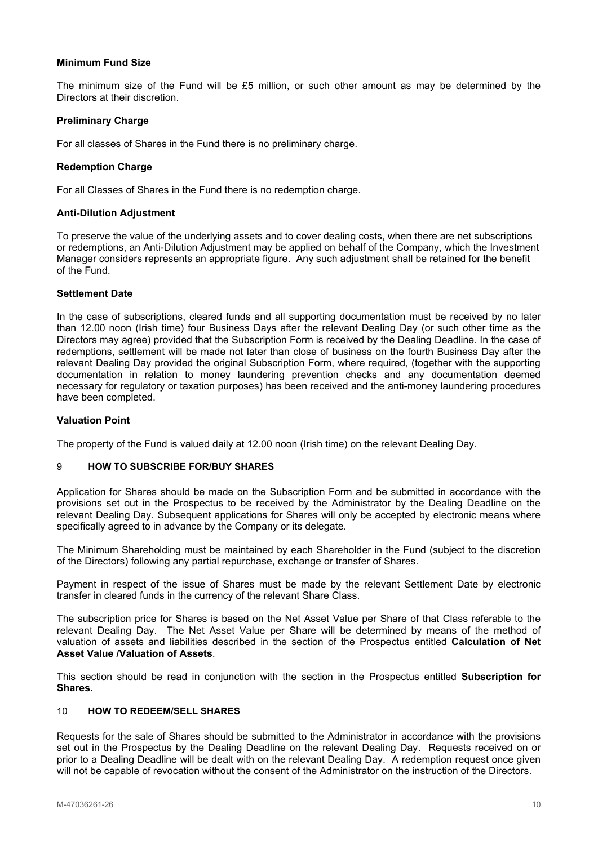### **Minimum Fund Size**

The minimum size of the Fund will be £5 million, or such other amount as may be determined by the Directors at their discretion.

### **Preliminary Charge**

For all classes of Shares in the Fund there is no preliminary charge.

### **Redemption Charge**

For all Classes of Shares in the Fund there is no redemption charge.

### **Anti-Dilution Adjustment**

To preserve the value of the underlying assets and to cover dealing costs, when there are net subscriptions or redemptions, an Anti-Dilution Adjustment may be applied on behalf of the Company, which the Investment Manager considers represents an appropriate figure. Any such adjustment shall be retained for the benefit of the Fund.

### **Settlement Date**

In the case of subscriptions, cleared funds and all supporting documentation must be received by no later than 12.00 noon (Irish time) four Business Days after the relevant Dealing Day (or such other time as the Directors may agree) provided that the Subscription Form is received by the Dealing Deadline. In the case of redemptions, settlement will be made not later than close of business on the fourth Business Day after the relevant Dealing Day provided the original Subscription Form, where required, (together with the supporting documentation in relation to money laundering prevention checks and any documentation deemed necessary for regulatory or taxation purposes) has been received and the anti-money laundering procedures have been completed.

### **Valuation Point**

<span id="page-9-0"></span>The property of the Fund is valued daily at 12.00 noon (Irish time) on the relevant Dealing Day.

### 9 **HOW TO SUBSCRIBE FOR/BUY SHARES**

Application for Shares should be made on the Subscription Form and be submitted in accordance with the provisions set out in the Prospectus to be received by the Administrator by the Dealing Deadline on the relevant Dealing Day. Subsequent applications for Shares will only be accepted by electronic means where specifically agreed to in advance by the Company or its delegate.

The Minimum Shareholding must be maintained by each Shareholder in the Fund (subject to the discretion of the Directors) following any partial repurchase, exchange or transfer of Shares.

Payment in respect of the issue of Shares must be made by the relevant Settlement Date by electronic transfer in cleared funds in the currency of the relevant Share Class.

The subscription price for Shares is based on the Net Asset Value per Share of that Class referable to the relevant Dealing Day. The Net Asset Value per Share will be determined by means of the method of valuation of assets and liabilities described in the section of the Prospectus entitled **Calculation of Net Asset Value /Valuation of Assets**.

This section should be read in conjunction with the section in the Prospectus entitled **Subscription for Shares.**

# <span id="page-9-1"></span>10 **HOW TO REDEEM/SELL SHARES**

Requests for the sale of Shares should be submitted to the Administrator in accordance with the provisions set out in the Prospectus by the Dealing Deadline on the relevant Dealing Day. Requests received on or prior to a Dealing Deadline will be dealt with on the relevant Dealing Day. A redemption request once given will not be capable of revocation without the consent of the Administrator on the instruction of the Directors.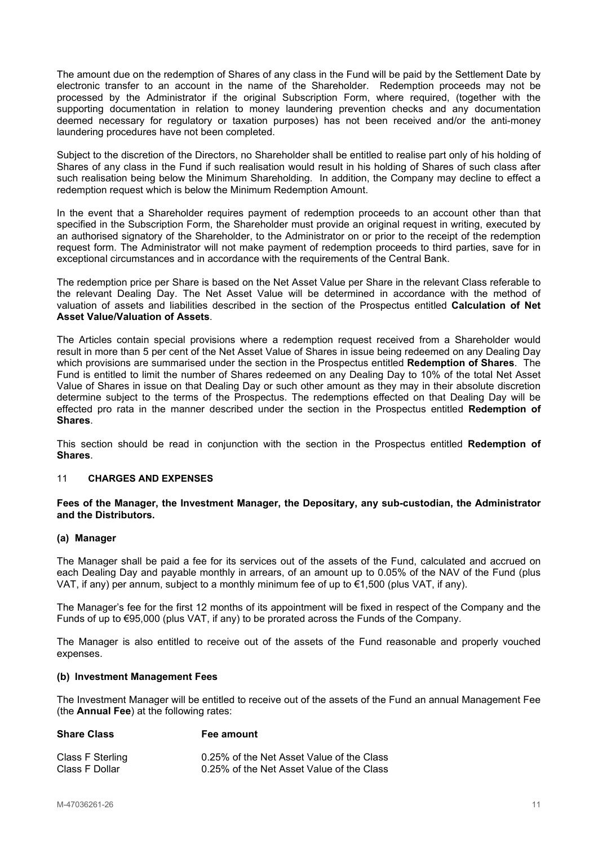The amount due on the redemption of Shares of any class in the Fund will be paid by the Settlement Date by electronic transfer to an account in the name of the Shareholder. Redemption proceeds may not be processed by the Administrator if the original Subscription Form, where required, (together with the supporting documentation in relation to money laundering prevention checks and any documentation deemed necessary for regulatory or taxation purposes) has not been received and/or the anti-money laundering procedures have not been completed.

Subject to the discretion of the Directors, no Shareholder shall be entitled to realise part only of his holding of Shares of any class in the Fund if such realisation would result in his holding of Shares of such class after such realisation being below the Minimum Shareholding. In addition, the Company may decline to effect a redemption request which is below the Minimum Redemption Amount.

In the event that a Shareholder requires payment of redemption proceeds to an account other than that specified in the Subscription Form, the Shareholder must provide an original request in writing, executed by an authorised signatory of the Shareholder, to the Administrator on or prior to the receipt of the redemption request form. The Administrator will not make payment of redemption proceeds to third parties, save for in exceptional circumstances and in accordance with the requirements of the Central Bank.

The redemption price per Share is based on the Net Asset Value per Share in the relevant Class referable to the relevant Dealing Day. The Net Asset Value will be determined in accordance with the method of valuation of assets and liabilities described in the section of the Prospectus entitled **Calculation of Net Asset Value/Valuation of Assets**.

The Articles contain special provisions where a redemption request received from a Shareholder would result in more than 5 per cent of the Net Asset Value of Shares in issue being redeemed on any Dealing Day which provisions are summarised under the section in the Prospectus entitled **Redemption of Shares**. The Fund is entitled to limit the number of Shares redeemed on any Dealing Day to 10% of the total Net Asset Value of Shares in issue on that Dealing Day or such other amount as they may in their absolute discretion determine subject to the terms of the Prospectus. The redemptions effected on that Dealing Day will be effected pro rata in the manner described under the section in the Prospectus entitled **Redemption of Shares**.

This section should be read in conjunction with the section in the Prospectus entitled **Redemption of Shares**.

#### <span id="page-10-0"></span>11 **CHARGES AND EXPENSES**

#### **Fees of the Manager, the Investment Manager, the Depositary, any sub-custodian, the Administrator and the Distributors.**

#### **(a) Manager**

The Manager shall be paid a fee for its services out of the assets of the Fund, calculated and accrued on each Dealing Day and payable monthly in arrears, of an amount up to 0.05% of the NAV of the Fund (plus VAT, if any) per annum, subject to a monthly minimum fee of up to €1,500 (plus VAT, if any).

The Manager's fee for the first 12 months of its appointment will be fixed in respect of the Company and the Funds of up to €95,000 (plus VAT, if any) to be prorated across the Funds of the Company.

The Manager is also entitled to receive out of the assets of the Fund reasonable and properly vouched expenses.

#### **(b) Investment Management Fees**

The Investment Manager will be entitled to receive out of the assets of the Fund an annual Management Fee (the **Annual Fee**) at the following rates:

| <b>Share Class</b> | Fee amount                                |
|--------------------|-------------------------------------------|
| Class F Sterling   | 0.25% of the Net Asset Value of the Class |
| Class F Dollar     | 0.25% of the Net Asset Value of the Class |